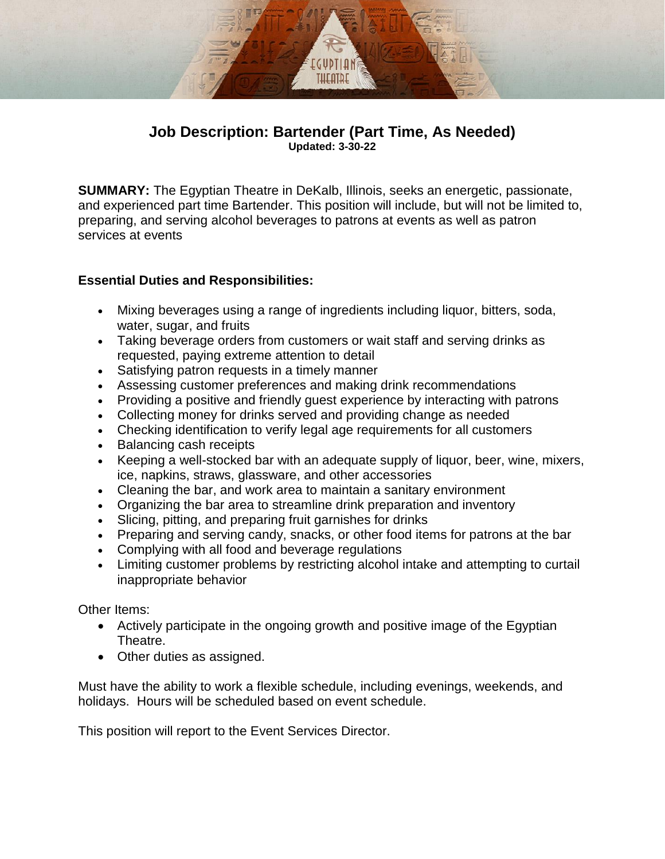# **Job Description: Bartender (Part Time, As Needed) Updated: 3-30-22**

EGUDTI O THEATRI

**SUMMARY:** The Egyptian Theatre in DeKalb, Illinois, seeks an energetic, passionate, and experienced part time Bartender. This position will include, but will not be limited to, preparing, and serving alcohol beverages to patrons at events as well as patron services at events

## **Essential Duties and Responsibilities:**

- Mixing beverages using a range of ingredients including liquor, bitters, soda, water, sugar, and fruits
- Taking beverage orders from customers or wait staff and serving drinks as requested, paying extreme attention to detail
- Satisfying patron requests in a timely manner
- Assessing customer preferences and making drink recommendations
- Providing a positive and friendly quest experience by interacting with patrons
- Collecting money for drinks served and providing change as needed
- Checking identification to verify legal age requirements for all customers
- Balancing cash receipts
- Keeping a well-stocked bar with an adequate supply of liquor, beer, wine, mixers, ice, napkins, straws, glassware, and other accessories
- Cleaning the bar, and work area to maintain a sanitary environment
- Organizing the bar area to streamline drink preparation and inventory
- Slicing, pitting, and preparing fruit garnishes for drinks
- Preparing and serving candy, snacks, or other food items for patrons at the bar
- Complying with all food and beverage regulations
- Limiting customer problems by restricting alcohol intake and attempting to curtail inappropriate behavior

Other Items:

- Actively participate in the ongoing growth and positive image of the Egyptian Theatre.
- Other duties as assigned.

Must have the ability to work a flexible schedule, including evenings, weekends, and holidays. Hours will be scheduled based on event schedule.

This position will report to the Event Services Director.